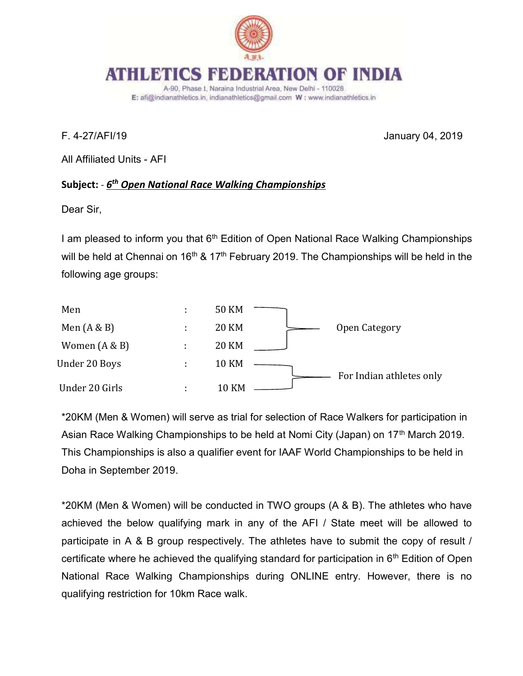

#### ATHLET INDIA

A-90, Phase I, Naraina Industrial Area, New Delhi - 110028 E: afi@indianathletics.in, indianathletics@gmail.com W: www.indianathletics.in

F. 4-27/AFI/19 January 04, 2019

All Affiliated Units - AFI

## Subject: - <u>6<sup>th</sup> Open National Race Walking Championships</u>

Dear Sir,

I am pleased to inform you that 6<sup>th</sup> Edition of Open National Race Walking Championships will be held at Chennai on  $16<sup>th</sup>$  &  $17<sup>th</sup>$  February 2019. The Championships will be held in the following age groups:



\*20KM (Men & Women) will serve as trial for selection of Race Walkers for participation in Asian Race Walking Championships to be held at Nomi City (Japan) on 17<sup>th</sup> March 2019. This Championships is also a qualifier event for IAAF World Championships to be held in Doha in September 2019.

\*20KM (Men & Women) will be conducted in TWO groups (A & B). The athletes who have achieved the below qualifying mark in any of the AFI / State meet will be allowed to participate in A & B group respectively. The athletes have to submit the copy of result / certificate where he achieved the qualifying standard for participation in  $6<sup>th</sup>$  Edition of Open National Race Walking Championships during ONLINE entry. However, there is no qualifying restriction for 10km Race walk.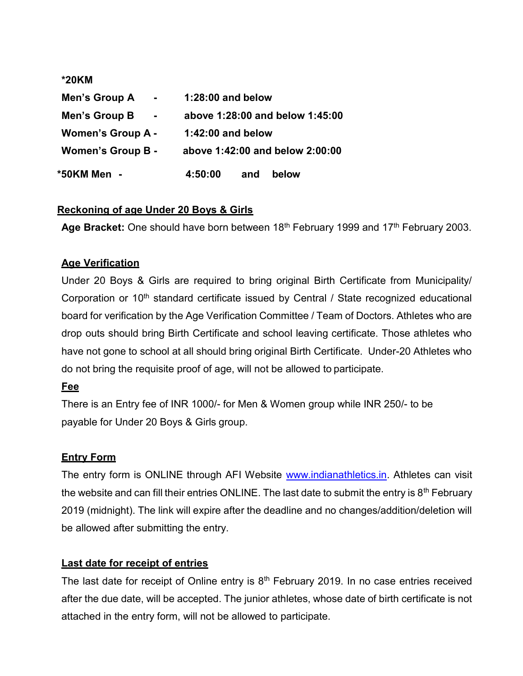| *20KM                           |                                 |
|---------------------------------|---------------------------------|
| Men's Group A<br>$\blacksquare$ | $1:28:00$ and below             |
| Men's Group B<br>$\blacksquare$ | above 1:28:00 and below 1:45:00 |
| <b>Women's Group A -</b>        | 1:42:00 and below               |
| <b>Women's Group B -</b>        | above 1:42:00 and below 2:00:00 |
| *50KM Men                       | 4:50:00<br>below<br>and         |

# Reckoning of age Under 20 Boys & Girls

Age Bracket: One should have born between 18<sup>th</sup> February 1999 and 17<sup>th</sup> February 2003.

### Age Verification

Under 20 Boys & Girls are required to bring original Birth Certificate from Municipality/ Corporation or 10<sup>th</sup> standard certificate issued by Central / State recognized educational board for verification by the Age Verification Committee / Team of Doctors. Athletes who are drop outs should bring Birth Certificate and school leaving certificate. Those athletes who have not gone to school at all should bring original Birth Certificate. Under-20 Athletes who do not bring the requisite proof of age, will not be allowed to participate.

### Fee

There is an Entry fee of INR 1000/- for Men & Women group while INR 250/- to be payable for Under 20 Boys & Girls group.

### Entry Form

The entry form is ONLINE through AFI Website www.indianathletics.in. Athletes can visit the website and can fill their entries ONLINE. The last date to submit the entry is  $8<sup>th</sup>$  February 2019 (midnight). The link will expire after the deadline and no changes/addition/deletion will be allowed after submitting the entry.

# Last date for receipt of entries

The last date for receipt of Online entry is  $8<sup>th</sup>$  February 2019. In no case entries received after the due date, will be accepted. The junior athletes, whose date of birth certificate is not attached in the entry form, will not be allowed to participate.